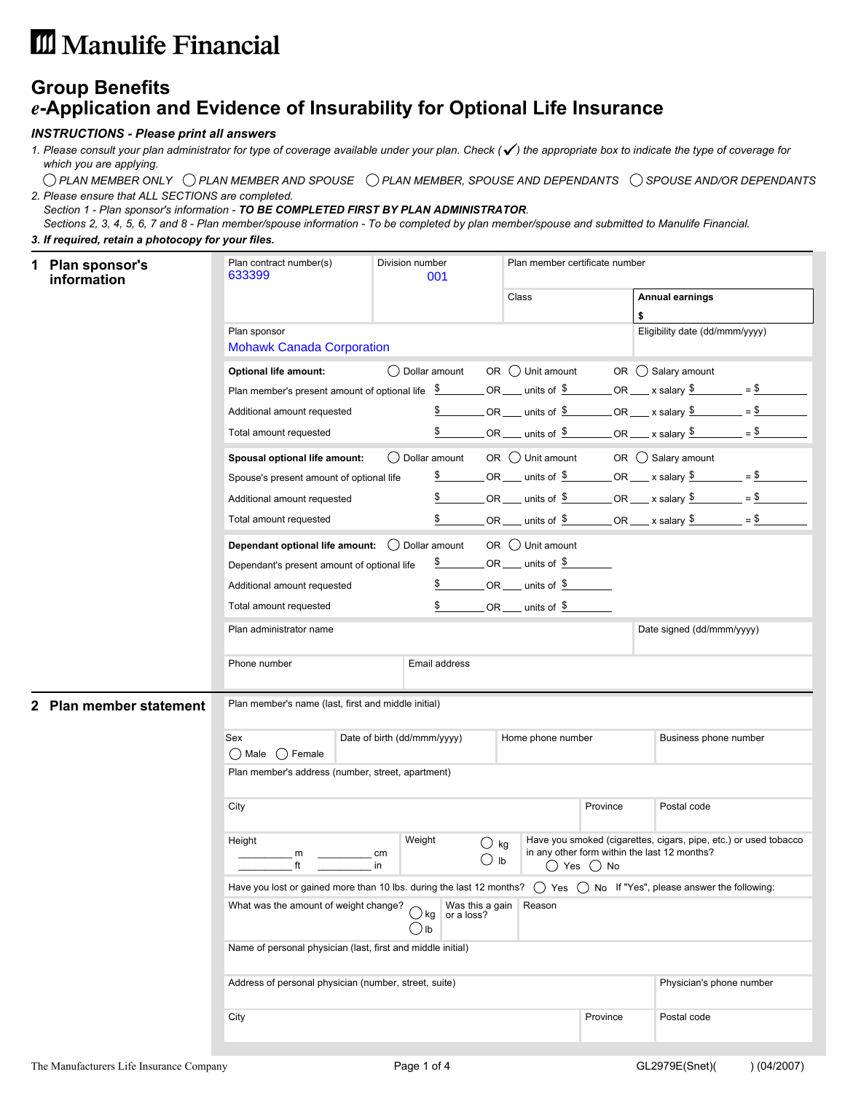# **III** Manulife Financial

## **Group Benefits** *e***-Application and Evidence of Insurability for Optional Life Insurance**

### *INSTRUCTIONS - Please print all answers*

*Please consult your plan administrator for type of coverage available under your plan. Check ( ) the appropriate box to indicate the type of coverage for 1. which you are applying.*

*PLAN MEMBER ONLY PLAN MEMBER AND SPOUSE PLAN MEMBER, SPOUSE AND DEPENDANTS SPOUSE AND/OR DEPENDANTS 2. Please ensure that ALL SECTIONS are completed.*

*Section 1 - Plan sponsor's information - TO BE COMPLETED FIRST BY PLAN ADMINISTRATOR.*

*Sections 2, 3, 4, 5, 6, 7 and 8 - Plan member/spouse information - To be completed by plan member/spouse and submitted to Manulife Financial.*

#### *3. If required, retain a photocopy for your files.*

|                                                                                | <b>Plan sponsor's</b><br>information | Plan contract number(s)<br>633399                           |          | Division number<br>001                             |                                |                                   | Plan member certificate number |                                                                                                                                                     |
|--------------------------------------------------------------------------------|--------------------------------------|-------------------------------------------------------------|----------|----------------------------------------------------|--------------------------------|-----------------------------------|--------------------------------|-----------------------------------------------------------------------------------------------------------------------------------------------------|
|                                                                                |                                      |                                                             |          |                                                    |                                | Class                             |                                | <b>Annual earnings</b><br>\$                                                                                                                        |
|                                                                                |                                      | Plan sponsor                                                |          |                                                    |                                |                                   |                                | Eligibility date (dd/mmm/yyyy)                                                                                                                      |
|                                                                                |                                      | <b>Mohawk Canada Corporation</b>                            |          |                                                    |                                |                                   |                                |                                                                                                                                                     |
|                                                                                |                                      | <b>Optional life amount:</b>                                |          | ◯ Dollar amount                                    |                                | OR $\bigcirc$ Unit amount         |                                | OR $\bigcirc$ Salary amount                                                                                                                         |
|                                                                                |                                      |                                                             |          |                                                    |                                |                                   |                                | Plan member's present amount of optional life $\frac{\$$ OR ____ units of $\frac{\$$ OR ____ x salary $\frac{\$$ = $\$}$ = $\frac{\$$ = $\frac{\$}$ |
|                                                                                |                                      | Additional amount requested                                 |          |                                                    |                                |                                   |                                | OR ___ units of $\frac{2}{3}$ OR ___ x salary $\frac{2}{3}$ = $\frac{2}{3}$ = $\frac{2}{3}$                                                         |
|                                                                                |                                      | Total amount requested                                      |          | \$                                                 |                                |                                   |                                | OR ___ units of $\frac{2}{3}$ OR ___ x salary $\frac{2}{3}$ = $\frac{2}{3}$ = $\frac{2}{3}$                                                         |
|                                                                                |                                      | Spousal optional life amount:                               |          | ( ) Dollar amount                                  |                                |                                   |                                | OR $\bigcirc$ Unit amount OR $\bigcirc$ Salary amount                                                                                               |
|                                                                                |                                      | Spouse's present amount of optional life                    |          |                                                    |                                |                                   |                                | OR ____ units of $\frac{3}{2}$ ________ OR _____ x salary $\frac{3}{2}$ ________ = $\frac{3}{2}$ ________                                           |
|                                                                                |                                      | Additional amount requested                                 |          | \$                                                 |                                |                                   |                                |                                                                                                                                                     |
|                                                                                |                                      | Total amount requested                                      |          | \$                                                 |                                |                                   |                                |                                                                                                                                                     |
|                                                                                |                                      | Dependant optional life amount: $\bigcirc$ Dollar amount    |          |                                                    |                                | OR $\bigcirc$ Unit amount         |                                |                                                                                                                                                     |
|                                                                                |                                      | Dependant's present amount of optional life                 |          | \$                                                 |                                | $OR$ ____ units of $$$ ________   |                                |                                                                                                                                                     |
|                                                                                |                                      | Additional amount requested                                 |          | \$                                                 |                                | $OR$ units of $\frac{1}{2}$       |                                |                                                                                                                                                     |
|                                                                                |                                      | Total amount requested                                      |          | \$                                                 |                                | _ OR ____ units of $\frac{\$$ ___ |                                |                                                                                                                                                     |
|                                                                                |                                      | Plan administrator name                                     |          |                                                    |                                |                                   |                                | Date signed (dd/mmm/yyyy)                                                                                                                           |
|                                                                                |                                      | Phone number                                                |          | Email address                                      |                                |                                   |                                |                                                                                                                                                     |
|                                                                                |                                      |                                                             |          |                                                    |                                |                                   |                                |                                                                                                                                                     |
| Plan member's name (last, first and middle initial)<br>2 Plan member statement |                                      |                                                             |          |                                                    |                                |                                   |                                |                                                                                                                                                     |
|                                                                                |                                      | Sex<br>$\bigcap$ Male $\bigcap$ Female                      |          | Date of birth (dd/mmm/yyyy)                        |                                | Home phone number                 |                                | Business phone number                                                                                                                               |
|                                                                                |                                      | Plan member's address (number, street, apartment)           |          |                                                    |                                |                                   |                                |                                                                                                                                                     |
|                                                                                |                                      | City                                                        |          |                                                    |                                |                                   | Province                       | Postal code                                                                                                                                         |
|                                                                                |                                      | Height<br>m<br>ft                                           | cm<br>in | Weight                                             | $\bigcirc$ kg<br>$\bigcirc$ lb |                                   | $\bigcirc$ Yes $\bigcirc$ No   | Have you smoked (cigarettes, cigars, pipe, etc.) or used tobacco<br>in any other form within the last 12 months?                                    |
|                                                                                |                                      |                                                             |          |                                                    |                                |                                   |                                | Have you lost or gained more than 10 lbs. during the last 12 months? $()$ Yes $()$ No If "Yes", please answer the following:                        |
|                                                                                |                                      | What was the amount of weight change?                       |          | Was this a gain<br>$\bigcup$ kg or a loss?<br>) lb |                                | Reason                            |                                |                                                                                                                                                     |
|                                                                                |                                      | Name of personal physician (last, first and middle initial) |          |                                                    |                                |                                   |                                |                                                                                                                                                     |
|                                                                                |                                      | Address of personal physician (number, street, suite)       |          |                                                    |                                |                                   |                                | Physician's phone number                                                                                                                            |
|                                                                                |                                      | City                                                        |          |                                                    |                                |                                   | Province                       | Postal code                                                                                                                                         |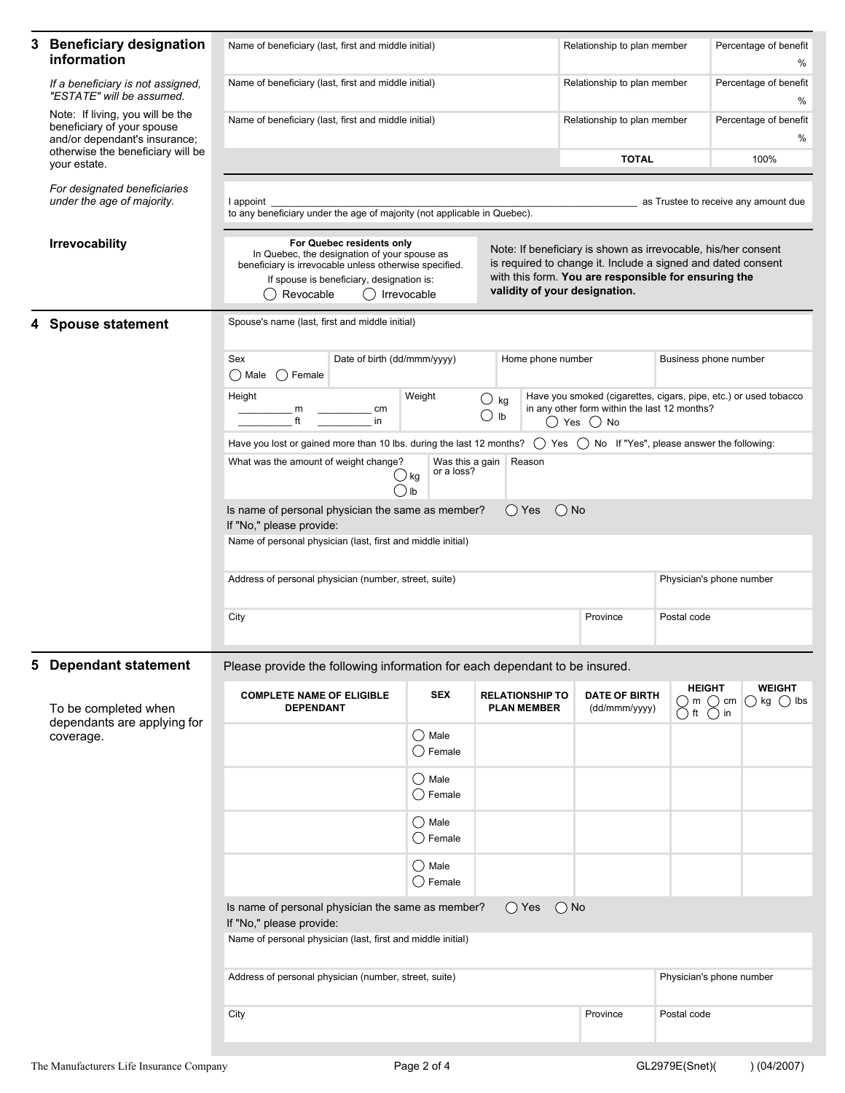| 3 | <b>Beneficiary designation</b><br>information                                                   | Name of beneficiary (last, first and middle initial)                                                                                                                                                                                                                                                                                                                                                                                      |                             |                                                        |                                              |        | Relationship to plan member           |                                                                                                                                                  |             | Percentage of benefit<br>$\%$                                                               |  |  |
|---|-------------------------------------------------------------------------------------------------|-------------------------------------------------------------------------------------------------------------------------------------------------------------------------------------------------------------------------------------------------------------------------------------------------------------------------------------------------------------------------------------------------------------------------------------------|-----------------------------|--------------------------------------------------------|----------------------------------------------|--------|---------------------------------------|--------------------------------------------------------------------------------------------------------------------------------------------------|-------------|---------------------------------------------------------------------------------------------|--|--|
|   | If a beneficiary is not assigned,<br>"ESTATE" will be assumed.                                  | Name of beneficiary (last, first and middle initial)                                                                                                                                                                                                                                                                                                                                                                                      |                             |                                                        |                                              |        | Relationship to plan member           |                                                                                                                                                  |             | Percentage of benefit<br>%                                                                  |  |  |
|   | Note: If living, you will be the<br>beneficiary of your spouse<br>and/or dependant's insurance; | Name of beneficiary (last, first and middle initial)                                                                                                                                                                                                                                                                                                                                                                                      |                             |                                                        |                                              |        | Relationship to plan member           |                                                                                                                                                  |             | Percentage of benefit<br>%                                                                  |  |  |
|   | otherwise the beneficiary will be<br>your estate.                                               |                                                                                                                                                                                                                                                                                                                                                                                                                                           |                             |                                                        |                                              |        |                                       | <b>TOTAL</b>                                                                                                                                     |             | 100%                                                                                        |  |  |
|   | For designated beneficiaries<br>under the age of majority.                                      | as Trustee to receive any amount due<br>I appoint<br>to any beneficiary under the age of majority (not applicable in Quebec).                                                                                                                                                                                                                                                                                                             |                             |                                                        |                                              |        |                                       |                                                                                                                                                  |             |                                                                                             |  |  |
|   | <b>Irrevocability</b>                                                                           | For Quebec residents only<br>Note: If beneficiary is shown as irrevocable, his/her consent<br>In Quebec, the designation of your spouse as<br>is required to change it. Include a signed and dated consent<br>beneficiary is irrevocable unless otherwise specified.<br>with this form. You are responsible for ensuring the<br>If spouse is beneficiary, designation is:<br>validity of your designation.<br>Revocable<br>() Irrevocable |                             |                                                        |                                              |        |                                       |                                                                                                                                                  |             |                                                                                             |  |  |
|   | <b>Spouse statement</b>                                                                         | Spouse's name (last, first and middle initial)                                                                                                                                                                                                                                                                                                                                                                                            |                             |                                                        |                                              |        |                                       |                                                                                                                                                  |             |                                                                                             |  |  |
|   |                                                                                                 | Sex<br>$\bigcap$ Male $\bigcap$ Female                                                                                                                                                                                                                                                                                                                                                                                                    | Date of birth (dd/mmm/yyyy) |                                                        |                                              |        | Home phone number                     | Business phone number                                                                                                                            |             |                                                                                             |  |  |
|   |                                                                                                 | Height<br>m<br>ft                                                                                                                                                                                                                                                                                                                                                                                                                         | cm<br>in                    | Weight                                                 | ∪ kg<br>С<br>Ib                              |        |                                       | Have you smoked (cigarettes, cigars, pipe, etc.) or used tobacco<br>in any other form within the last 12 months?<br>$\bigcirc$ Yes $\bigcirc$ No |             |                                                                                             |  |  |
|   |                                                                                                 | Have you lost or gained more than 10 lbs. during the last 12 months?                                                                                                                                                                                                                                                                                                                                                                      |                             |                                                        |                                              |        |                                       | $\bigcap$ Yes $\bigcap$ No If "Yes", please answer the following:                                                                                |             |                                                                                             |  |  |
|   |                                                                                                 | What was the amount of weight change?                                                                                                                                                                                                                                                                                                                                                                                                     |                             | Was this a gain<br>or a loss?<br>∪ kg<br>$\bigcirc$ lb |                                              | Reason |                                       |                                                                                                                                                  |             |                                                                                             |  |  |
|   |                                                                                                 | Is name of personal physician the same as member?<br>$()$ Yes<br>$()$ No<br>If "No," please provide:                                                                                                                                                                                                                                                                                                                                      |                             |                                                        |                                              |        |                                       |                                                                                                                                                  |             |                                                                                             |  |  |
|   |                                                                                                 | Name of personal physician (last, first and middle initial)                                                                                                                                                                                                                                                                                                                                                                               |                             |                                                        |                                              |        |                                       |                                                                                                                                                  |             |                                                                                             |  |  |
|   |                                                                                                 | Address of personal physician (number, street, suite)                                                                                                                                                                                                                                                                                                                                                                                     |                             |                                                        |                                              |        |                                       | Physician's phone number                                                                                                                         |             |                                                                                             |  |  |
|   |                                                                                                 | City                                                                                                                                                                                                                                                                                                                                                                                                                                      |                             |                                                        |                                              |        |                                       | Province                                                                                                                                         | Postal code |                                                                                             |  |  |
| 5 | <b>Dependant statement</b>                                                                      | Please provide the following information for each dependant to be insured.                                                                                                                                                                                                                                                                                                                                                                |                             |                                                        |                                              |        |                                       |                                                                                                                                                  |             |                                                                                             |  |  |
|   | To be completed when<br>dependants are applying for                                             | <b>COMPLETE NAME OF ELIGIBLE</b><br><b>DEPENDANT</b>                                                                                                                                                                                                                                                                                                                                                                                      |                             | <b>SEX</b>                                             | <b>RELATIONSHIP TO</b><br><b>PLAN MEMBER</b> |        | <b>DATE OF BIRTH</b><br>(dd/mmm/yyyy) | m<br>( ) ft                                                                                                                                      |             | <b>HEIGHT</b><br><b>WEIGHT</b><br>$\bigcirc$ kg $\bigcirc$ lbs<br>$( )$ cm<br>$\bigcirc$ in |  |  |
|   | coverage.                                                                                       |                                                                                                                                                                                                                                                                                                                                                                                                                                           |                             | $\bigcirc$ Male<br>$\bigcirc$ Female                   |                                              |        |                                       |                                                                                                                                                  |             |                                                                                             |  |  |
|   |                                                                                                 |                                                                                                                                                                                                                                                                                                                                                                                                                                           |                             | () Male<br>$\bigcirc$ Female                           |                                              |        |                                       |                                                                                                                                                  |             |                                                                                             |  |  |
|   |                                                                                                 |                                                                                                                                                                                                                                                                                                                                                                                                                                           |                             | $\bigcirc$ Male<br>$\bigcirc$ Female                   |                                              |        |                                       |                                                                                                                                                  |             |                                                                                             |  |  |
|   |                                                                                                 |                                                                                                                                                                                                                                                                                                                                                                                                                                           |                             | $\bigcirc$ Male<br>$\bigcirc$ Female                   |                                              |        |                                       |                                                                                                                                                  |             |                                                                                             |  |  |
|   |                                                                                                 | Is name of personal physician the same as member?<br>$()$ Yes<br>$()$ No<br>If "No," please provide:                                                                                                                                                                                                                                                                                                                                      |                             |                                                        |                                              |        |                                       |                                                                                                                                                  |             |                                                                                             |  |  |
|   |                                                                                                 | Name of personal physician (last, first and middle initial)                                                                                                                                                                                                                                                                                                                                                                               |                             |                                                        |                                              |        |                                       |                                                                                                                                                  |             |                                                                                             |  |  |
|   |                                                                                                 | Address of personal physician (number, street, suite)<br>Physician's phone number                                                                                                                                                                                                                                                                                                                                                         |                             |                                                        |                                              |        |                                       |                                                                                                                                                  |             |                                                                                             |  |  |
|   |                                                                                                 | City<br>Province                                                                                                                                                                                                                                                                                                                                                                                                                          |                             |                                                        |                                              |        |                                       | Postal code                                                                                                                                      |             |                                                                                             |  |  |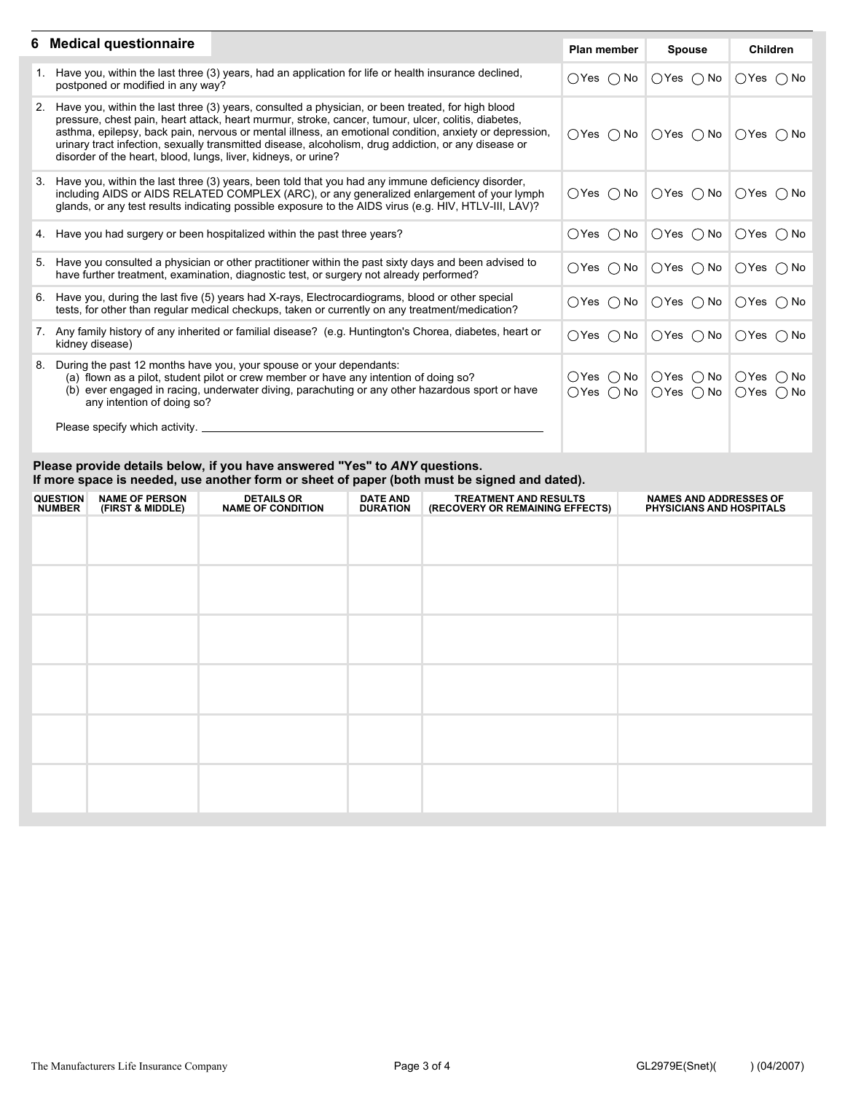| 6 Medical questionnaire                                                                                                                                                                                                                                                                                                                                                                                                                                                                         | <b>Plan member</b>                                                   | <b>Spouse</b>                                                                          | <b>Children</b>                               |
|-------------------------------------------------------------------------------------------------------------------------------------------------------------------------------------------------------------------------------------------------------------------------------------------------------------------------------------------------------------------------------------------------------------------------------------------------------------------------------------------------|----------------------------------------------------------------------|----------------------------------------------------------------------------------------|-----------------------------------------------|
| 1. Have you, within the last three (3) years, had an application for life or health insurance declined,<br>postponed or modified in any way?                                                                                                                                                                                                                                                                                                                                                    | $\bigcirc$ Yes $\bigcirc$ No $\big $                                 | $\bigcirc$ Yes $\bigcirc$ No $\big $                                                   | $\bigcirc$ Yes $\bigcirc$ No                  |
| 2. Have you, within the last three (3) years, consulted a physician, or been treated, for high blood<br>pressure, chest pain, heart attack, heart murmur, stroke, cancer, tumour, ulcer, colitis, diabetes,<br>asthma, epilepsy, back pain, nervous or mental illness, an emotional condition, anxiety or depression,<br>urinary tract infection, sexually transmitted disease, alcoholism, drug addiction, or any disease or<br>disorder of the heart, blood, lungs, liver, kidneys, or urine? |                                                                      | $\bigcirc$ Yes $\bigcirc$ No $\bigcirc$ Yes $\bigcirc$ No $\big $                      | $OYes$ $O No$                                 |
| 3. Have you, within the last three (3) years, been told that you had any immune deficiency disorder,<br>including AIDS or AIDS RELATED COMPLEX (ARC), or any generalized enlargement of your lymph<br>glands, or any test results indicating possible exposure to the AIDS virus (e.g. HIV, HTLV-III, LAV)?                                                                                                                                                                                     | $\bigcirc$ Yes $\bigcirc$ No $\big $                                 | $\bigcirc$ Yes $\bigcirc$ No $\big $                                                   | $\bigcirc$ Yes $\bigcirc$ No                  |
| 4. Have you had surgery or been hospitalized within the past three years?                                                                                                                                                                                                                                                                                                                                                                                                                       | $\bigcirc$ Yes $\bigcirc$ No $\big $                                 | $\bigcirc$ Yes $\bigcirc$ No $\big $                                                   | $\bigcirc$ Yes $\bigcirc$ No                  |
| 5. Have you consulted a physician or other practitioner within the past sixty days and been advised to<br>have further treatment, examination, diagnostic test, or surgery not already performed?                                                                                                                                                                                                                                                                                               |                                                                      | $\bigcirc$ Yes $\bigcirc$ No $\bigcirc$ Yes $\bigcirc$ No $\bigcirc$ Yes $\bigcirc$ No |                                               |
| 6. Have you, during the last five (5) years had X-rays, Electrocardiograms, blood or other special<br>tests, for other than regular medical checkups, taken or currently on any treatment/medication?                                                                                                                                                                                                                                                                                           |                                                                      | $\bigcirc$ Yes $\bigcirc$ No $\bigcirc$ Yes $\bigcirc$ No $\bigcirc$ Yes $\bigcirc$ No |                                               |
| 7. Any family history of any inherited or familial disease? (e.g. Huntington's Chorea, diabetes, heart or<br>kidney disease)                                                                                                                                                                                                                                                                                                                                                                    | $\bigcirc$ Yes $\bigcirc$ No                                         | $\bigcirc$ Yes $\bigcirc$ No $\big $                                                   | $\bigcirc$ Yes $\bigcirc$ No                  |
| 8. During the past 12 months have you, your spouse or your dependants:<br>(a) flown as a pilot, student pilot or crew member or have any intention of doing so?<br>(b) ever engaged in racing, underwater diving, parachuting or any other hazardous sport or have<br>any intention of doing so?<br>Please specify which activity.                                                                                                                                                              | $\bigcirc$ Yes $\bigcirc$ No<br>$\bigcirc$ Yes $\bigcirc$ No $\big $ | $\bigcirc$ Yes $\bigcirc$ No<br>$\bigcirc$ Yes $\bigcirc$ No $\big $                   | $OYes$ $O No$<br>$\bigcirc$ Yes $\bigcirc$ No |
|                                                                                                                                                                                                                                                                                                                                                                                                                                                                                                 |                                                                      |                                                                                        |                                               |

#### **Please provide details below, if you have answered "Yes" to** *ANY* **questions. If more space is needed, use another form or sheet of paper (both must be signed and dated).**

| <b>QUESTION</b><br><b>NUMBER</b> | <b>NAME OF PERSON</b><br>(FIRST & MIDDLE) | <b>DETAILS OR</b><br><b>NAME OF CONDITION</b> | <b>DATE AND</b><br><b>DURATION</b> | <b>TREATMENT AND RESULTS</b><br>(RECOVERY OR REMAINING EFFECTS) | <b>NAMES AND ADDRESSES OF</b><br>PHYSICIANS AND HOSPITALS |
|----------------------------------|-------------------------------------------|-----------------------------------------------|------------------------------------|-----------------------------------------------------------------|-----------------------------------------------------------|
|                                  |                                           |                                               |                                    |                                                                 |                                                           |
|                                  |                                           |                                               |                                    |                                                                 |                                                           |
|                                  |                                           |                                               |                                    |                                                                 |                                                           |
|                                  |                                           |                                               |                                    |                                                                 |                                                           |
|                                  |                                           |                                               |                                    |                                                                 |                                                           |
|                                  |                                           |                                               |                                    |                                                                 |                                                           |